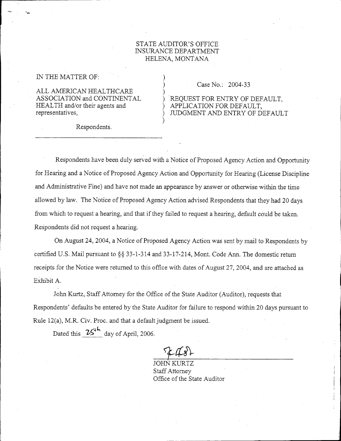## STATE AUDITOR'S OFFICE INSURANCE DEPARTMENT HELENA, MONTANA

)

)

)

IN THE MATTER OF:

ALL AMERICAN HEALTHCARE ASSOCIATION and CONTINENTAL HEALTH and/or their agents and representatives,

Respondents.

) Case No.: 2004-33

## ) 'REQUEST FOR ENTRY OF DEFAULT, ) APPLICATION FOR DEFAULT, JUDGMENT AND ENTRY OF DEFAULT

Respondents have been duly served with a Notice of Proposed Agency Action and Opportunity for Hearing and a Notice of Proposed Agency Action and Opportunity for Hearing (License Discipline and Administrative Fine) and have not made an appearance by answer or otherwise within the time allowed by law. The Notice of Proposed Agency Action advised Respondents that they had 20 days from which to request a hearing, and that if they failed to request a hearing, default could be taken. Respondents did not request a hearing.

On August 24,2004, a Notice of Proposed Agency Action was sent by mail to Respondents by certified U.S. Mail pursuant to  $\S$ § 33-1-314 and 33-17-214, Mont. Code Ann. The domestic return receipts for the Notice were returned to this office with dates of August 27,2004, and are attached as Exhibit A.

John Kurtz,. Staff Attorney for the Office of the State Auditor (Auditor), requests that Respondents' defaults be entered by the State Auditor for failure to respond within 20 days pursuant to Rule 12(a), M.R. Civ. Proc. and that a default judgment be issued.

Dated this  $25<sup>4</sup>$  day of April, 2006.

*1=c(,i\-*

JOHN K Staff Attorney Office of the State Auditor